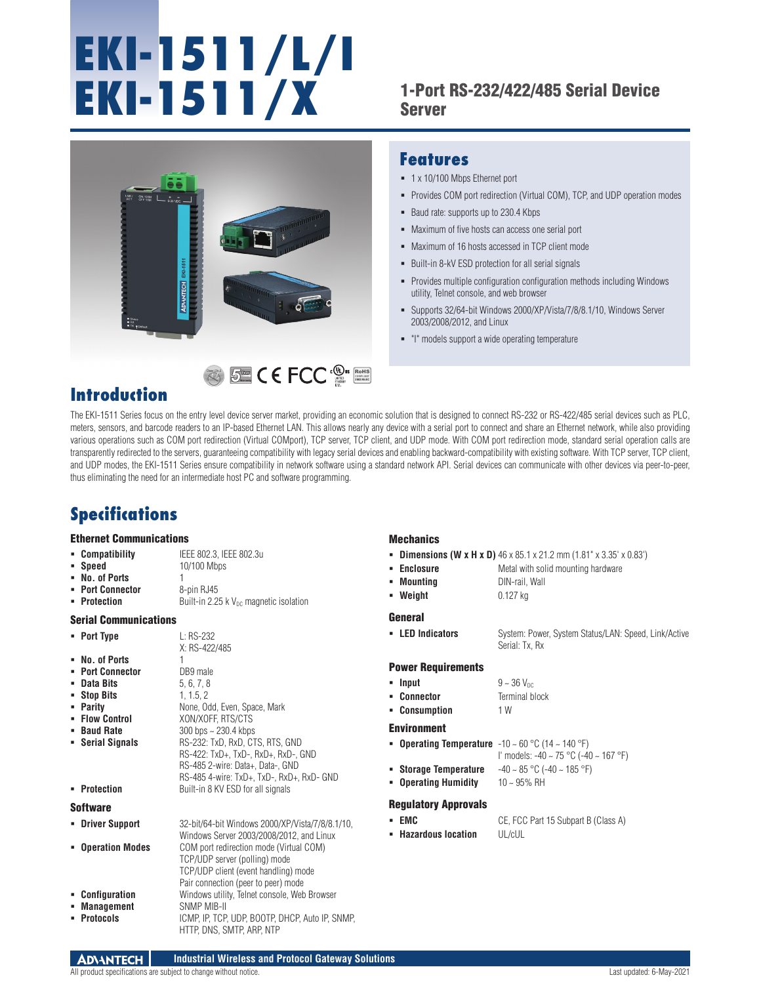# **EKI-1511/L/I EKI-1511/X**

### 1-Port RS-232/422/485 Serial Device Server

Provides COM port redirection (Virtual COM), TCP, and UDP operation modes

Provides multiple configuration configuration methods including Windows

Supports 32/64-bit Windows 2000/XP/Vista/7/8/8.1/10, Windows Server



## RoHS **COMPLIANT 2002/95/EC**

## **Introduction**

#### The EKI-1511 Series focus on the entry level device server market, providing an economic solution that is designed to connect RS-232 or RS-422/485 serial devices such as PLC, meters, sensors, and barcode readers to an IP-based Ethernet LAN. This allows nearly any device with a serial port to connect and share an Ethernet network, while also providing various operations such as COM port redirection (Virtual COMport), TCP server, TCP client, and UDP mode. With COM port redirection mode, standard serial operation calls are transparently redirected to the servers, guaranteeing compatibility with legacy serial devices and enabling backward-compatibility with existing software. With TCP server, TCP client, and UDP modes, the EKI-1511 Series ensure compatibility in network software using a standard network API. Serial devices can communicate with other devices via peer-to-peer, thus eliminating the need for an intermediate host PC and software programming.

## **Specifications**

#### Ethernet Communications

| <b>Compatibility</b> | IEEE 802.3, IEEE 802.3u |
|----------------------|-------------------------|
|                      |                         |

**Speed** 10/100 Mbps **No. of Ports** 

X: RS-422/485

- **Port Connector** 8-pin RJ45
- **Protection** Built-in 2.25 k V<sub>DC</sub> magnetic isolation

#### Serial Communications

- **Port Type** L: RS-232
- **No. of Ports** 1
- 
- **Port Connector** DB9 male<br>**Port and Dits** 5.6.7.8
- **1 Data Bits** 5, 6, 7, 8<br>**1**, 1.5, 2 **Stop Bits**<br>**Parity**
- 
- **Parity** None, Odd, Even, Space, Mark<br> **Prime: Control** XON/XOFF, RTS/CTS
- **Baud Rate** 300 bps ~ 230.4 kbps
- **Serial Signals** RS-232: TxD, RxD, CTS, RTS, GND
	- RS-422: TxD+, TxD-, RxD+, RxD-, GND RS-485 2-wire: Data+, Data-, GND RS-485 4-wire: TxD+, TxD-, RxD+, RxD- GND

**Flow Control** XON/XOFF, RTS/CTS

**Protection** Built-in 8 KV ESD for all signals

#### Software

 **Driver Support** 32-bit/64-bit Windows 2000/XP/Vista/7/8/8.1/10, Windows Server 2003/2008/2012, and Linux **Operation Modes** COM port redirection mode (Virtual COM) TCP/UDP server (polling) mode TCP/UDP client (event handling) mode Pair connection (peer to peer) mode **Configuration** Windows utility, Telnet console, Web Browser **Management** SNMP MIB-II **Protocols** ICMP, IP, TCP, UDP, BOOTP, DHCP, Auto IP, SNMP,

#### **Mechanics**

**Dimensions (W x H x D)** 46 x 85.1 x 21.2 mm (1.81" x 3.35' x 0.83')

Serial: Tx, Rx

- **Enclosure** Metal with solid mounting hardware
- **Mounting** DIN-rail, Wall
- **Weight** 0.127 kg

**Features**

1 x 10/100 Mbps Ethernet port

Baud rate: supports up to 230.4 Kbps

utility, Telnet console, and web browser

"I" models support a wide operating temperature

2003/2008/2012, and Linux

 Maximum of five hosts can access one serial port **Maximum of 16 hosts accessed in TCP client mode** Built-in 8-kV ESD protection for all serial signals

#### General

**LED Indicators** System: Power, System Status/LAN: Speed, Link/Active

#### Power Requirements

- **Input**  $9 \sim 36$  V<sub>DC</sub>
- **Connector Terminal block**
- **Consumption** 1 W

#### Environment

- **Operating Temperature** -10 ~ 60 °C (14 ~ 140 °F)
	- I' models: -40 ~ 75 °C (-40 ~ 167 °F)
- **Storage Temperature** -40 ~ 85 °C (-40 ~ 185 °F)
- **Operating Humidity** 10 ~ 95% RH

#### Regulatory Approvals

- **Hazardous location** UL/cUL
- **EMC** CE, FCC Part 15 Subpart B (Class A)

HTTP, DNS, SMTP, ARP, NTP